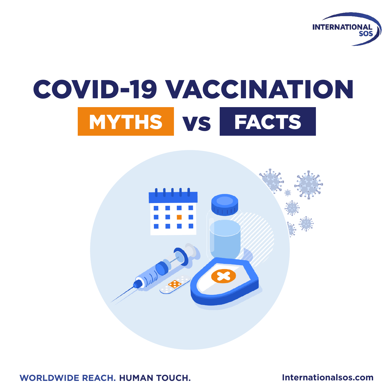

# COVID-19 VACCINATION MYTHS vs FACTS



**WORLDWIDE REACH. HUMAN TOUCH.**

**Internationalsos.com**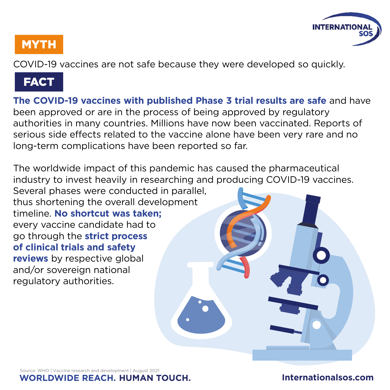

COVID-19 vaccines are not safe because they were developed so quickly.

#### **FACT**

**The COVID-19 vaccines with published Phase 3 trial results are safe** and have been approved or are in the process of being approved by regulatory authorities in many countries. Millions have now been vaccinated. Reports of serious side effects related to the vaccine alone have been very rare and no long-term complications have been reported so far.

The worldwide impact of this pandemic has caused the pharmaceutical industry to invest heavily in researching and producing COVID-19 vaccines.

Several phases were conducted in parallel, thus shortening the overall development timeline. **No shortcut was taken;**  every vaccine candidate had to go through the **strict process of clinical trials and safety reviews** by respective global and/or sovereign national regulatory authorities.

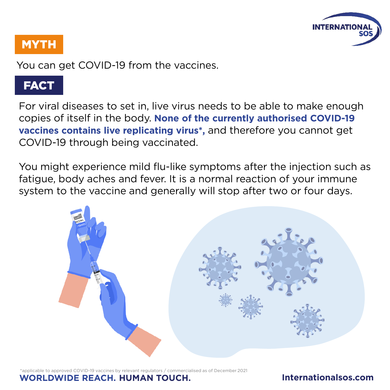

You can get COVID-19 from the vaccines.

# **FACT**

For viral diseases to set in, live virus needs to be able to make enough copies of itself in the body. **None of the currently authorised COVID-19 vaccines contains live replicating virus\*,** and therefore you cannot get COVID-19 through being vaccinated.

You might experience mild flu-like symptoms after the injection such as fatigue, body aches and fever. It is a normal reaction of your immune system to the vaccine and generally will stop after two or four days.



 $\sqrt{2}$  vaccines by relevant regulators / commercialised as of December 2021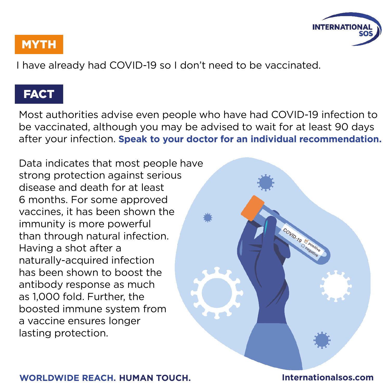

COVID-19 & Pearline

#### **MYTH**

I have already had COVID-19 so I don't need to be vaccinated.

#### FACT

Most authorities advise even people who have had COVID-19 infection to be vaccinated, although you may be advised to wait for at least 90 days after your infection. **Speak to your doctor for an individual recommendation.**

**WORLDWIDE REACH. HUMAN TOUCH. Internationalsos.com**

Data indicates that most people have strong protection against serious disease and death for at least 6 months. For some approved vaccines, it has been shown the immunity is more powerful than through natural infection. Having a shot after a naturally-acquired infection has been shown to boost the antibody response as much as 1,000 fold. Further, the boosted immune system from a vaccine ensures longer lasting protection.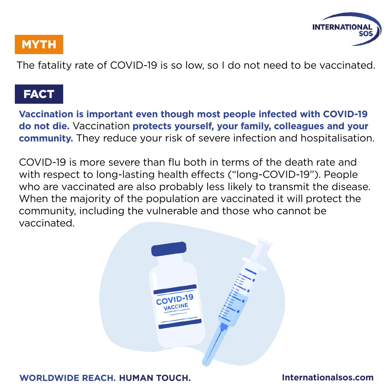

The fatality rate of COVID-19 is so low, so I do not need to be vaccinated.

#### **FACT**

**Vaccination is important even though most people infected with COVID-19 do not die.** Vaccination **protects yourself, your family, colleagues and your community.** They reduce your risk of severe infection and hospitalisation.

COVID-19 is more severe than flu both in terms of the death rate and with respect to long-lasting health effects ("long-COVID-19"). People who are vaccinated are also probably less likely to transmit the disease. When the majority of the population are vaccinated it will protect the community, including the vulnerable and those who cannot be vaccinated.

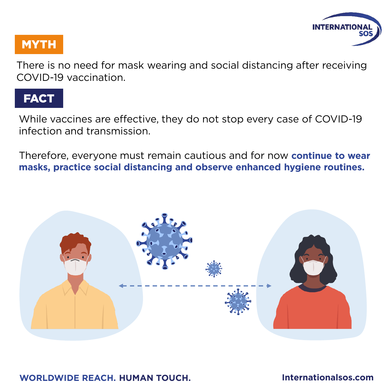

There is no need for mask wearing and social distancing after receiving COVID-19 vaccination.

# **FACT**

While vaccines are effective, they do not stop every case of COVID-19 infection and transmission.

Therefore, everyone must remain cautious and for now **continue to wear masks, practice social distancing and observe enhanced hygiene routines.**

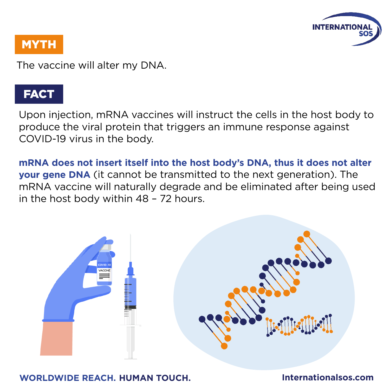

The vaccine will alter my DNA.

### FACT

Upon injection, mRNA vaccines will instruct the cells in the host body to produce the viral protein that triggers an immune response against COVID-19 virus in the body.

**mRNA does not insert itself into the host body's DNA, thus it does not alter your gene DNA** (it cannot be transmitted to the next generation). The mRNA vaccine will naturally degrade and be eliminated after being used in the host body within 48 – 72 hours.

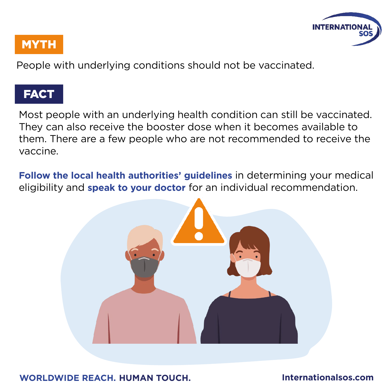

People with underlying conditions should not be vaccinated.

# **FACT**

Most people with an underlying health condition can still be vaccinated. They can also receive the booster dose when it becomes available to them. There are a few people who are not recommended to receive the vaccine.

**Follow the local health authorities' guidelines** in determining your medical eligibility and **speak to your doctor** for an individual recommendation.

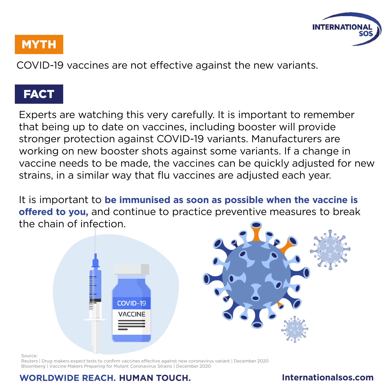

COVID-19 vaccines are not effective against the new variants.

# FACT

Experts are watching this very carefully. It is important to remember that being up to date on vaccines, including booster will provide stronger protection against COVID-19 variants. Manufacturers are working on new booster shots against some variants. If a change in vaccine needs to be made, the vaccines can be quickly adjusted for new strains, in a similar way that flu vaccines are adjusted each year.

It is important to **be immunised as soon as possible when the vaccine is offered to you,** and continue to practice preventive measures to break the chain of infection.



Source:

Reuters | Drug makers expect tests to confirm vaccines effective against new coronavirus variant | December 2020 Bloomberg | Vaccine Makers Preparing for Mutant Coronavirus Strains | December 2020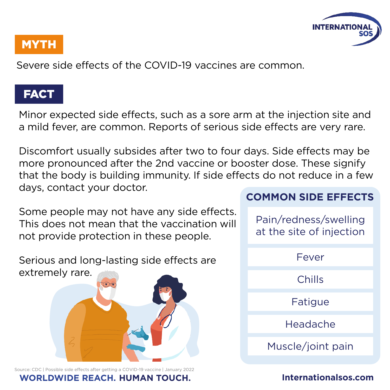

Severe side effects of the COVID-19 vaccines are common.

#### FACT

Minor expected side effects, such as a sore arm at the injection site and a mild fever, are common. Reports of serious side effects are very rare.

Discomfort usually subsides after two to four days. Side effects may be more pronounced after the 2nd vaccine or booster dose. These signify that the body is building immunity. If side effects do not reduce in a few days, contact your doctor.

Some people may not have any side effects. This does not mean that the vaccination will not provide protection in these people.

Serious and long-lasting side effects are extremely rare.



Source: CDC | Possible side effects after getting a COVID-19 vaccine | January 2022

#### **WORLDWIDE REACH. HUMAN TOUCH. Internationalsos.com**

#### **COMMON SIDE EFFECTS**

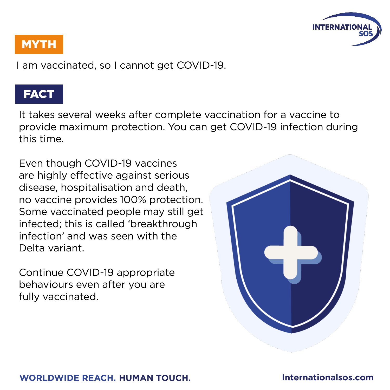

I am vaccinated, so I cannot get COVID-19.

#### **FACT**

It takes several weeks after complete vaccination for a vaccine to provide maximum protection. You can get COVID-19 infection during this time.

Even though COVID-19 vaccines are highly effective against serious disease, hospitalisation and death, no vaccine provides 100% protection. Some vaccinated people may still get infected; this is called 'breakthrough infection' and was seen with the Delta variant.

Continue COVID-19 appropriate behaviours even after you are fully vaccinated.